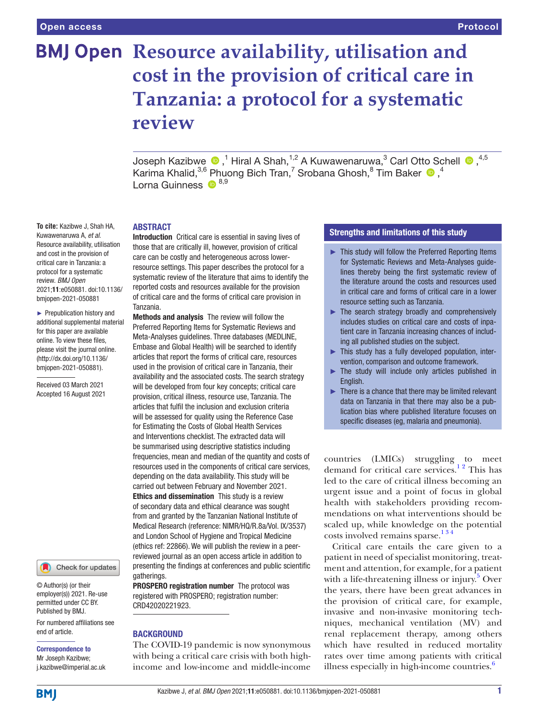# **BMJ Open Resource availability, utilisation and cost in the provision of critical care in Tanzania: a protocol for a systematic review**

Joseph Kazibwe  $\bigcirc$  ,<sup>1</sup> Hiral A Shah,<sup>1,2</sup> A Kuwawenaruwa,<sup>3</sup> Carl Otto Schell  $\bigcirc$  ,<sup>4,5</sup> Karima Khalid, ${}^{3,6}$  Phuong Bich Tran,<sup>7</sup> Srobana Ghosh, ${}^{8}$  Tim Baker  ${}^{\textcircled{\textsf{D}}}, {}^{4}$ Lorna Guinness <sup>18,9</sup>

## ABSTRACT

Introduction Critical care is essential in saving lives of those that are critically ill, however, provision of critical care can be costly and heterogeneous across lowerresource settings. This paper describes the protocol for a systematic review of the literature that aims to identify the reported costs and resources available for the provision of critical care and the forms of critical care provision in Tanzania.

Methods and analysis The review will follow the Preferred Reporting Items for Systematic Reviews and Meta-Analyses guidelines. Three databases (MEDLINE, Embase and Global Health) will be searched to identify articles that report the forms of critical care, resources used in the provision of critical care in Tanzania, their availability and the associated costs. The search strategy will be developed from four key concepts; critical care provision, critical illness, resource use, Tanzania. The articles that fulfil the inclusion and exclusion criteria will be assessed for quality using the Reference Case for Estimating the Costs of Global Health Services and Interventions checklist. The extracted data will be summarised using descriptive statistics including frequencies, mean and median of the quantity and costs of resources used in the components of critical care services, depending on the data availability. This study will be carried out between February and November 2021. Ethics and dissemination This study is a review of secondary data and ethical clearance was sought from and granted by the Tanzanian National Institute of Medical Research (reference: NIMR/HQ/R.8a/Vol. IX/3537) and London School of Hygiene and Tropical Medicine (ethics ref: 22866). We will publish the review in a peerreviewed journal as an open access article in addition to presenting the findings at conferences and public scientific gatherings.

PROSPERO registration number The protocol was registered with PROSPERO; registration number: CRD42020221923.

# **BACKGROUND**

The COVID-19 pandemic is now synonymous with being a critical care crisis with both highincome and low-income and middle-income

# Strengths and limitations of this study

- ► This study will follow the Preferred Reporting Items for Systematic Reviews and Meta-Analyses guidelines thereby being the first systematic review of the literature around the costs and resources used in critical care and forms of critical care in a lower resource setting such as Tanzania.
- ► The search strategy broadly and comprehensively includes studies on critical care and costs of inpatient care in Tanzania increasing chances of including all published studies on the subject.
- ► This study has a fully developed population, intervention, comparison and outcome framework.
- $\blacktriangleright$  The study will include only articles published in English.
- ► There is a chance that there may be limited relevant data on Tanzania in that there may also be a publication bias where published literature focuses on specific diseases (eg, malaria and pneumonia).

countries (LMICs) struggling to meet demand for critical care services.<sup>12</sup> This has led to the care of critical illness becoming an urgent issue and a point of focus in global health with stakeholders providing recommendations on what interventions should be scaled up, while knowledge on the potential costs involved remains sparse.<sup>134</sup>

Critical care entails the care given to a patient in need of specialist monitoring, treatment and attention, for example, for a patient with a life-threatening illness or injury.<sup>5</sup> Over the years, there have been great advances in the provision of critical care, for example, invasive and non-invasive monitoring techniques, mechanical ventilation (MV) and renal replacement therapy, among others which have resulted in reduced mortality rates over time among patients with critical illness especially in high-income countries. $6$ 

**To cite:** Kazibwe J, Shah HA, Kuwawenaruwa A, *et al*. Resource availability, utilisation and cost in the provision of critical care in Tanzania: a protocol for a systematic review. *BMJ Open* 2021;11:e050881. doi:10.1136/ bmjopen-2021-050881

► Prepublication history and additional supplemental material for this paper are available online. To view these files, please visit the journal online. (http://dx.doi.org/10.1136/ bmjopen-2021-050881).

Received 03 March 2021 Accepted 16 August 2021

Check for updates

© Author(s) (or their employer(s)) 2021. Re-use permitted under CC BY. Published by BMJ.

For numbered affiliations see end of article.

Correspondence to Mr Joseph Kazibwe;

j.kazibwe@imperial.ac.uk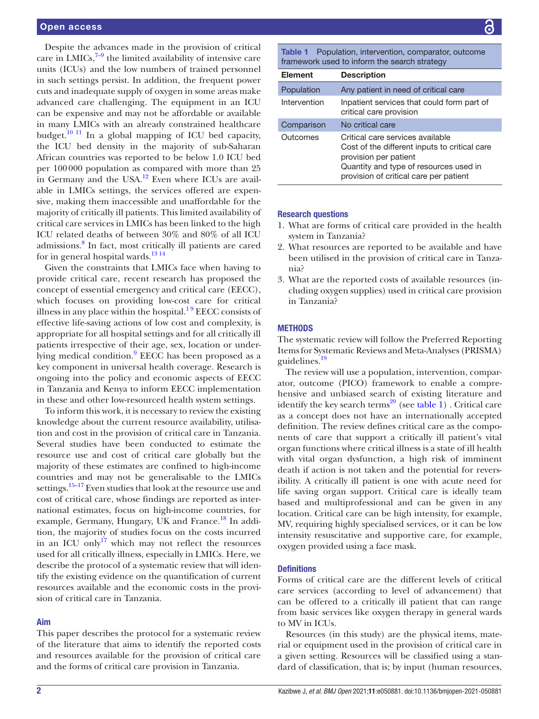Despite the advances made in the provision of critical care in LMICs, $7-9$  the limited availability of intensive care units (ICUs) and the low numbers of trained personnel in such settings persist. In addition, the frequent power cuts and inadequate supply of oxygen in some areas make advanced care challenging. The equipment in an ICU can be expensive and may not be affordable or available in many LMICs with an already constrained healthcare budget.<sup>10 11</sup> In a global mapping of ICU bed capacity, the ICU bed density in the majority of sub-Saharan African countries was reported to be below 1.0 ICU bed per 100000 population as compared with more than 25 in Germany and the USA.<sup>12</sup> Even where ICUs are available in LMICs settings, the services offered are expensive, making them inaccessible and unaffordable for the majority of critically ill patients. This limited availability of critical care services in LMICs has been linked to the high ICU related deaths of between 30% and 80% of all ICU admissions.<sup>8</sup> In fact, most critically ill patients are cared for in general hospital wards. $1314$ 

Given the constraints that LMICs face when having to provide critical care, recent research has proposed the concept of essential emergency and critical care (EECC), which focuses on providing low-cost care for critical illness in any place within the hospital. $1<sup>9</sup>$  EECC consists of effective life-saving actions of low cost and complexity, is appropriate for all hospital settings and for all critically ill patients irrespective of their age, sex, location or under-lying medical condition.<sup>[9](#page-4-8)</sup> EECC has been proposed as a key component in universal health coverage. Research is ongoing into the policy and economic aspects of EECC in Tanzania and Kenya to inform EECC implementation in these and other low-resourced health system settings.

To inform this work, it is necessary to review the existing knowledge about the current resource availability, utilisation and cost in the provision of critical care in Tanzania. Several studies have been conducted to estimate the resource use and cost of critical care globally but the majority of these estimates are confined to high-income countries and may not be generalisable to the LMICs settings.<sup>15–17</sup> Even studies that look at the resource use and cost of critical care, whose findings are reported as international estimates, focus on high-income countries, for example, Germany, Hungary, UK and France.<sup>18</sup> In addition, the majority of studies focus on the costs incurred in an ICU only<sup>[17](#page-4-11)</sup> which may not reflect the resources used for all critically illness, especially in LMICs. Here, we describe the protocol of a systematic review that will identify the existing evidence on the quantification of current resources available and the economic costs in the provision of critical care in Tanzania.

# Aim

This paper describes the protocol for a systematic review of the literature that aims to identify the reported costs and resources available for the provision of critical care and the forms of critical care provision in Tanzania.

<span id="page-1-0"></span>Table 1 Population, intervention, comparator, outcome framework used to inform the search strategy

| <b>Element</b> | <b>Description</b>                                                                                                                                                                             |
|----------------|------------------------------------------------------------------------------------------------------------------------------------------------------------------------------------------------|
| Population     | Any patient in need of critical care                                                                                                                                                           |
| Intervention   | Inpatient services that could form part of<br>critical care provision                                                                                                                          |
| Comparison     | No critical care                                                                                                                                                                               |
| Outcomes       | Critical care services available<br>Cost of the different inputs to critical care<br>provision per patient<br>Quantity and type of resources used in<br>provision of critical care per patient |

# Research questions

- 1. What are forms of critical care provided in the health system in Tanzania?
- 2. What resources are reported to be available and have been utilised in the provision of critical care in Tanzania?
- 3. What are the reported costs of available resources (including oxygen supplies) used in critical care provision in Tanzania?

#### **METHODS**

The systematic review will follow the Preferred Reporting Items for Systematic Reviews and Meta-Analyses (PRISMA) guidelines[.19](#page-4-12)

The review will use a population, intervention, comparator, outcome (PICO) framework to enable a comprehensive and unbiased search of existing literature and identify the key search terms<sup>20</sup> (see [table](#page-1-0) 1). Critical care as a concept does not have an internationally accepted definition. The review defines critical care as the components of care that support a critically ill patient's vital organ functions where critical illness is a state of ill health with vital organ dysfunction, a high risk of imminent death if action is not taken and the potential for reversibility. A critically ill patient is one with acute need for life saving organ support. Critical care is ideally team based and multiprofessional and can be given in any location. Critical care can be high intensity, for example, MV, requiring highly specialised services, or it can be low intensity resuscitative and supportive care, for example, oxygen provided using a face mask.

# **Definitions**

Forms of critical care are the different levels of critical care services (according to level of advancement) that can be offered to a critically ill patient that can range from basic services like oxygen therapy in general wards to MV in ICUs.

Resources (in this study) are the physical items, material or equipment used in the provision of critical care in a given setting. Resources will be classified using a standard of classification, that is; by input (human resources,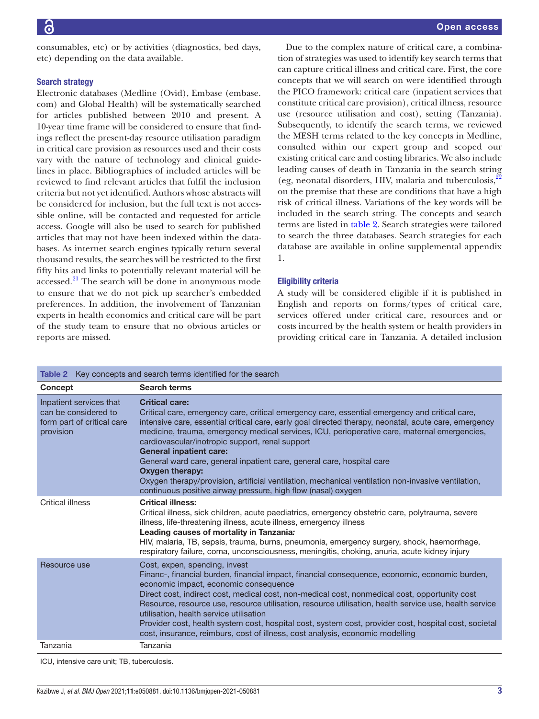consumables, etc) or by activities (diagnostics, bed days, etc) depending on the data available.

# Search strategy

Electronic databases (Medline (Ovid), Embase (embase. com) and Global Health) will be systematically searched for articles published between 2010 and present. A 10-year time frame will be considered to ensure that findings reflect the present-day resource utilisation paradigm in critical care provision as resources used and their costs vary with the nature of technology and clinical guidelines in place. Bibliographies of included articles will be reviewed to find relevant articles that fulfil the inclusion criteria but not yet identified. Authors whose abstracts will be considered for inclusion, but the full text is not accessible online, will be contacted and requested for article access. Google will also be used to search for published articles that may not have been indexed within the databases. As internet search engines typically return several thousand results, the searches will be restricted to the first fifty hits and links to potentially relevant material will be accessed. $^{21}$  The search will be done in anonymous mode to ensure that we do not pick up searcher's embedded preferences. In addition, the involvement of Tanzanian experts in health economics and critical care will be part of the study team to ensure that no obvious articles or reports are missed.

Due to the complex nature of critical care, a combination of strategies was used to identify key search terms that can capture critical illness and critical care. First, the core concepts that we will search on were identified through the PICO framework: critical care (inpatient services that constitute critical care provision), critical illness, resource use (resource utilisation and cost), setting (Tanzania). Subsequently, to identify the search terms, we reviewed the MESH terms related to the key concepts in Medline, consulted within our expert group and scoped our existing critical care and costing libraries. We also include leading causes of death in Tanzania in the search string (eg, neonatal disorders, HIV, malaria and tuberculosis, $^{22}$  $^{22}$  $^{22}$ ) on the premise that these are conditions that have a high risk of critical illness. Variations of the key words will be included in the search string. The concepts and search terms are listed in [table](#page-2-0) 2. Search strategies were tailored to search the three databases. Search strategies for each database are available in [online supplemental appendix](https://dx.doi.org/10.1136/bmjopen-2021-050881)  [1](https://dx.doi.org/10.1136/bmjopen-2021-050881).

# Eligibility criteria

A study will be considered eligible if it is published in English and reports on forms/types of critical care, services offered under critical care, resources and or costs incurred by the health system or health providers in providing critical care in Tanzania. A detailed inclusion

<span id="page-2-0"></span>

| Table 2 Key concepts and search terms identified for the search                            |                                                                                                                                                                                                                                                                                                                                                                                                                                                                                                                                                                                                                                                                                           |  |
|--------------------------------------------------------------------------------------------|-------------------------------------------------------------------------------------------------------------------------------------------------------------------------------------------------------------------------------------------------------------------------------------------------------------------------------------------------------------------------------------------------------------------------------------------------------------------------------------------------------------------------------------------------------------------------------------------------------------------------------------------------------------------------------------------|--|
| Concept                                                                                    | Search terms                                                                                                                                                                                                                                                                                                                                                                                                                                                                                                                                                                                                                                                                              |  |
| Inpatient services that<br>can be considered to<br>form part of critical care<br>provision | <b>Critical care:</b><br>Critical care, emergency care, critical emergency care, essential emergency and critical care,<br>intensive care, essential critical care, early goal directed therapy, neonatal, acute care, emergency<br>medicine, trauma, emergency medical services, ICU, perioperative care, maternal emergencies,<br>cardiovascular/inotropic support, renal support<br><b>General inpatient care:</b><br>General ward care, general inpatient care, general care, hospital care<br>Oxygen therapy:<br>Oxygen therapy/provision, artificial ventilation, mechanical ventilation non-invasive ventilation,<br>continuous positive airway pressure, high flow (nasal) oxygen |  |
| Critical illness                                                                           | <b>Critical illness:</b><br>Critical illness, sick children, acute paediatrics, emergency obstetric care, polytrauma, severe<br>illness, life-threatening illness, acute illness, emergency illness<br>Leading causes of mortality in Tanzania:<br>HIV, malaria, TB, sepsis, trauma, burns, pneumonia, emergency surgery, shock, haemorrhage,<br>respiratory failure, coma, unconsciousness, meningitis, choking, anuria, acute kidney injury                                                                                                                                                                                                                                             |  |
| Resource use                                                                               | Cost, expen, spending, invest<br>Financ-, financial burden, financial impact, financial consequence, economic, economic burden,<br>economic impact, economic consequence<br>Direct cost, indirect cost, medical cost, non-medical cost, nonmedical cost, opportunity cost<br>Resource, resource use, resource utilisation, resource utilisation, health service use, health service<br>utilisation, health service utilisation<br>Provider cost, health system cost, hospital cost, system cost, provider cost, hospital cost, societal<br>cost, insurance, reimburs, cost of illness, cost analysis, economic modelling                                                                  |  |
| Tanzania                                                                                   | Tanzania                                                                                                                                                                                                                                                                                                                                                                                                                                                                                                                                                                                                                                                                                  |  |
| ICU, intensive care unit: TB, tuberculosis,                                                |                                                                                                                                                                                                                                                                                                                                                                                                                                                                                                                                                                                                                                                                                           |  |

Kazibwe J, *et al*. *BMJ Open* 2021;11:e050881. doi:10.1136/bmjopen-2021-050881 3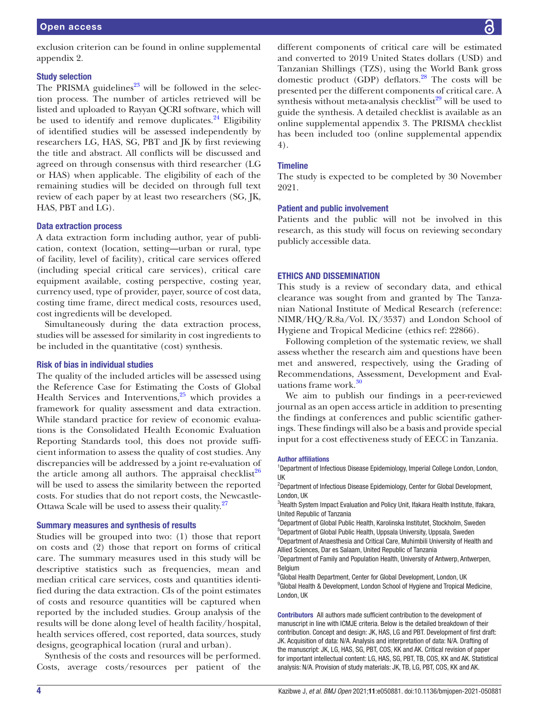exclusion criterion can be found in [online supplemental](https://dx.doi.org/10.1136/bmjopen-2021-050881) [appendix 2](https://dx.doi.org/10.1136/bmjopen-2021-050881).

## Study selection

The PRISMA guidelines<sup>23</sup> will be followed in the selection process. The number of articles retrieved will be listed and uploaded to Rayyan QCRI software, which will be used to identify and remove duplicates. $^{24}$  Eligibility of identified studies will be assessed independently by researchers LG, HAS, SG, PBT and JK by first reviewing the title and abstract. All conflicts will be discussed and agreed on through consensus with third researcher (LG or HAS) when applicable. The eligibility of each of the remaining studies will be decided on through full text review of each paper by at least two researchers (SG, JK, HAS, PBT and LG).

# Data extraction process

A data extraction form including author, year of publication, context (location, setting—urban or rural, type of facility, level of facility), critical care services offered (including special critical care services), critical care equipment available, costing perspective, costing year, currency used, type of provider, payer, source of cost data, costing time frame, direct medical costs, resources used, cost ingredients will be developed.

Simultaneously during the data extraction process, studies will be assessed for similarity in cost ingredients to be included in the quantitative (cost) synthesis.

## Risk of bias in individual studies

The quality of the included articles will be assessed using the Reference Case for Estimating the Costs of Global Health Services and Interventions, $25$  which provides a framework for quality assessment and data extraction. While standard practice for review of economic evaluations is the Consolidated Health Economic Evaluation Reporting Standards tool, this does not provide sufficient information to assess the quality of cost studies. Any discrepancies will be addressed by a joint re-evaluation of the article among all authors. The appraisal checklist<sup>[26](#page-4-19)</sup> will be used to assess the similarity between the reported costs. For studies that do not report costs, the Newcastle-Ottawa Scale will be used to assess their quality.<sup>[27](#page-4-20)</sup>

## Summary measures and synthesis of results

Studies will be grouped into two: (1) those that report on costs and (2) those that report on forms of critical care. The summary measures used in this study will be descriptive statistics such as frequencies, mean and median critical care services, costs and quantities identified during the data extraction. CIs of the point estimates of costs and resource quantities will be captured when reported by the included studies. Group analysis of the results will be done along level of health facility/hospital, health services offered, cost reported, data sources, study designs, geographical location (rural and urban).

Synthesis of the costs and resources will be performed. Costs, average costs/resources per patient of the

different components of critical care will be estimated and converted to 2019 United States dollars (USD) and Tanzanian Shillings (TZS), using the World Bank gross domestic product (GDP) deflators. $^{28}$  The costs will be presented per the different components of critical care. A synthesis without meta-analysis checklist $29$  will be used to guide the synthesis. A detailed checklist is available as an [online supplemental appendix 3](https://dx.doi.org/10.1136/bmjopen-2021-050881). The PRISMA checklist has been included too ([online supplemental appendix](https://dx.doi.org/10.1136/bmjopen-2021-050881)  [4](https://dx.doi.org/10.1136/bmjopen-2021-050881)).

# **Timeline**

The study is expected to be completed by 30 November 2021.

# Patient and public involvement

Patients and the public will not be involved in this research, as this study will focus on reviewing secondary publicly accessible data.

# ETHICS AND DISSEMINATION

This study is a review of secondary data, and ethical clearance was sought from and granted by The Tanzanian National Institute of Medical Research (reference: NIMR/HQ/R.8a/Vol. IX/3537) and London School of Hygiene and Tropical Medicine (ethics ref: 22866).

Following completion of the systematic review, we shall assess whether the research aim and questions have been met and answered, respectively, using the Grading of Recommendations, Assessment, Development and Eval-uations frame work.<sup>[30](#page-4-23)</sup>

We aim to publish our findings in a peer-reviewed journal as an open access article in addition to presenting the findings at conferences and public scientific gatherings. These findings will also be a basis and provide special input for a cost effectiveness study of EECC in Tanzania.

#### Author affiliations

<sup>1</sup>Department of Infectious Disease Epidemiology, Imperial College London, London, UK

<sup>2</sup>Department of Infectious Disease Epidemiology, Center for Global Development, London, UK

<sup>3</sup>Health System Impact Evaluation and Policy Unit, Ifakara Health Institute, Ifakara, United Republic of Tanzania

4 Department of Global Public Health, Karolinska Institutet, Stockholm, Sweden 5 Department of Global Public Health, Uppsala University, Uppsala, Sweden

<sup>6</sup>Department of Anaesthesia and Critical Care, Muhimbili University of Health and Allied Sciences, Dar es Salaam, United Republic of Tanzania

<sup>7</sup>Department of Family and Population Health, University of Antwerp, Antwerpen, Belgium

<sup>8</sup>Global Health Department, Center for Global Development, London, UK <sup>9</sup>Global Health & Development, London School of Hygiene and Tropical Medicine, London, UK

Contributors All authors made sufficient contribution to the development of manuscript in line with ICMJE criteria. Below is the detailed breakdown of their contribution. Concept and design: JK, HAS, LG and PBT. Development of first draft: JK. Acquisition of data: N/A. Analysis and interpretation of data: N/A. Drafting of the manuscript: JK, LG, HAS, SG, PBT, COS, KK and AK. Critical revision of paper for important intellectual content: LG, HAS, SG, PBT, TB, COS, KK and AK. Statistical analysis: N/A. Provision of study materials: JK, TB, LG, PBT, COS, KK and AK.